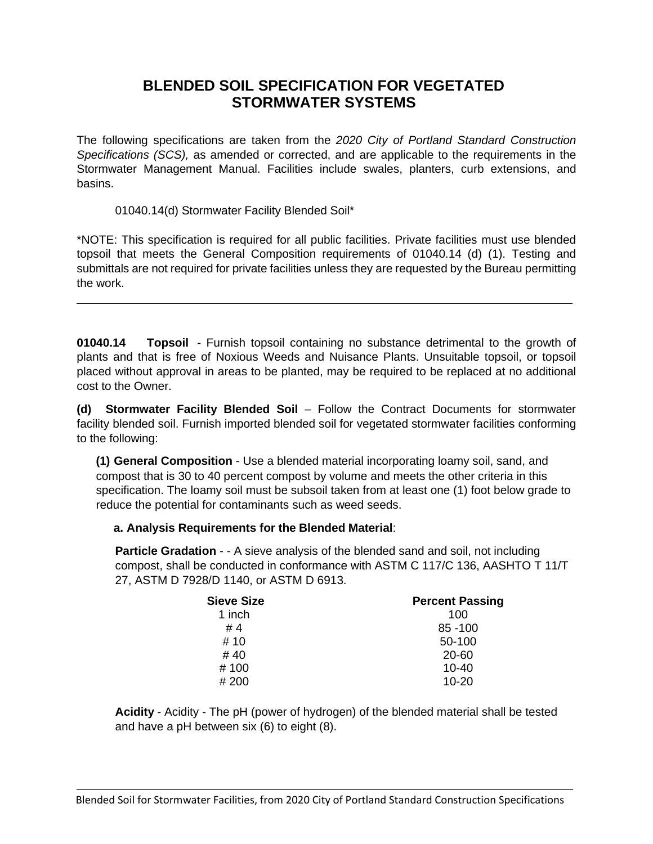# **BLENDED SOIL SPECIFICATION FOR VEGETATED STORMWATER SYSTEMS**

The following specifications are taken from the *2020 City of Portland Standard Construction Specifications (SCS),* as amended or corrected, and are applicable to the requirements in the Stormwater Management Manual. Facilities include swales, planters, curb extensions, and basins.

01040.14(d) Stormwater Facility Blended Soil\*

\*NOTE: This specification is required for all public facilities. Private facilities must use blended topsoil that meets the General Composition requirements of 01040.14 (d) (1). Testing and submittals are not required for private facilities unless they are requested by the Bureau permitting the work.

**01040.14 Topsoil** - Furnish topsoil containing no substance detrimental to the growth of plants and that is free of Noxious Weeds and Nuisance Plants. Unsuitable topsoil, or topsoil placed without approval in areas to be planted, may be required to be replaced at no additional cost to the Owner.

**(d) Stormwater Facility Blended Soil** – Follow the Contract Documents for stormwater facility blended soil. Furnish imported blended soil for vegetated stormwater facilities conforming to the following:

**(1) General Composition** - Use a blended material incorporating loamy soil, sand, and compost that is 30 to 40 percent compost by volume and meets the other criteria in this specification. The loamy soil must be subsoil taken from at least one (1) foot below grade to reduce the potential for contaminants such as weed seeds.

### **a. Analysis Requirements for the Blended Material**:

**Particle Gradation** - - A sieve analysis of the blended sand and soil, not including compost, shall be conducted in conformance with ASTM C 117/C 136, AASHTO T 11/T 27, ASTM D 7928/D 1140, or ASTM D 6913.

| <b>Sieve Size</b> | <b>Percent Passing</b> |
|-------------------|------------------------|
| 1 inch            | 100                    |
| #4                | 85 - 100               |
| # 10              | 50-100                 |
| #40               | 20-60                  |
| # 100             | $10 - 40$              |
| # 200             | $10 - 20$              |

**Acidity** - Acidity - The pH (power of hydrogen) of the blended material shall be tested and have a pH between six (6) to eight (8).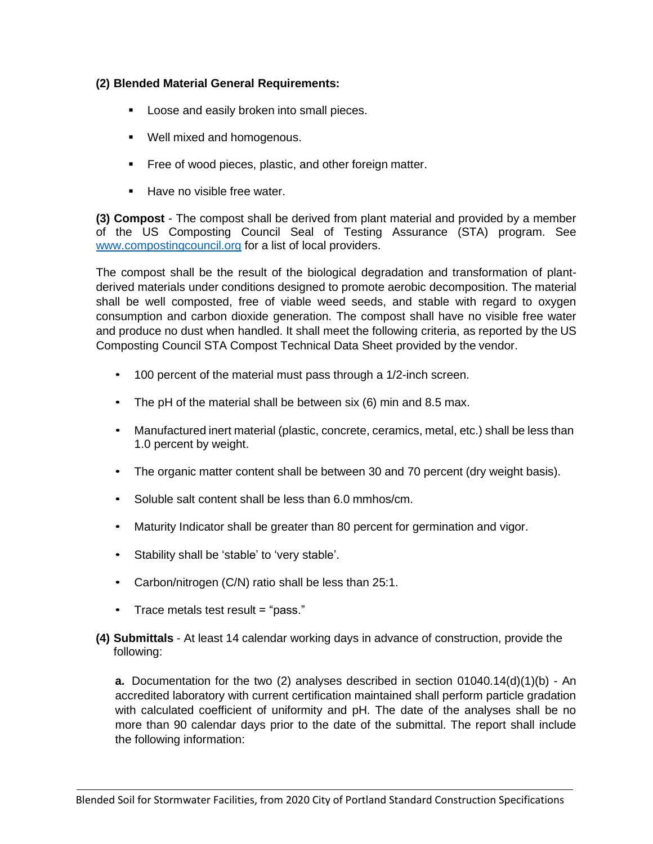## **(2) Blended Material General Requirements:**

- Loose and easily broken into small pieces.
- Well mixed and homogenous.
- Free of wood pieces, plastic, and other foreign matter.
- Have no visible free water.

**(3) Compost** - The compost shall be derived from plant material and provided by a member of the US Composting Council Seal of Testing Assurance (STA) program. See [www.compostingcouncil.org](http://www.compostingcouncil.org/) for a list of local providers.

The compost shall be the result of the biological degradation and transformation of plantderived materials under conditions designed to promote aerobic decomposition. The material shall be well composted, free of viable weed seeds, and stable with regard to oxygen consumption and carbon dioxide generation. The compost shall have no visible free water and produce no dust when handled. It shall meet the following criteria, as reported by the US Composting Council STA Compost Technical Data Sheet provided by the vendor.

- 100 percent of the material must pass through a 1/2-inch screen.
- The pH of the material shall be between six (6) min and 8.5 max.
- Manufactured inert material (plastic, concrete, ceramics, metal, etc.) shall be less than 1.0 percent by weight.
- The organic matter content shall be between 30 and 70 percent (dry weight basis).
- Soluble salt content shall be less than 6.0 mmhos/cm.
- Maturity Indicator shall be greater than 80 percent for germination and vigor.
- Stability shall be 'stable' to 'very stable'.
- Carbon/nitrogen (C/N) ratio shall be less than 25:1.
- Trace metals test result = "pass."
- **(4) Submittals** At least 14 calendar working days in advance of construction, provide the following:

**a.** Documentation for the two (2) analyses described in section 01040.14(d)(1)(b) - An accredited laboratory with current certification maintained shall perform particle gradation with calculated coefficient of uniformity and pH. The date of the analyses shall be no more than 90 calendar days prior to the date of the submittal. The report shall include the following information: